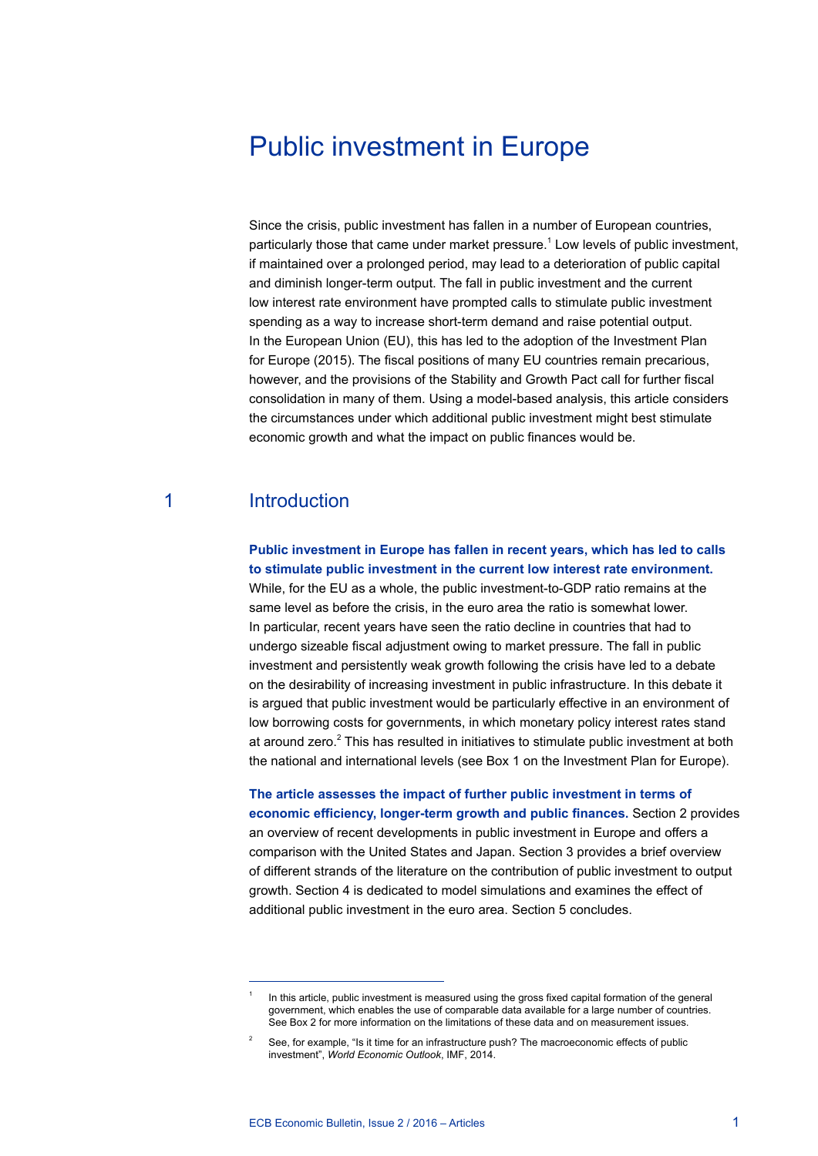# Public investment in Europe

Since the crisis, public investment has fallen in a number of European countries, particularly those that came under market pressure.<sup>1</sup> Low levels of public investment, if maintained over a prolonged period, may lead to a deterioration of public capital and diminish longer-term output. The fall in public investment and the current low interest rate environment have prompted calls to stimulate public investment spending as a way to increase short-term demand and raise potential output. In the European Union (EU), this has led to the adoption of the Investment Plan for Europe (2015). The fiscal positions of many EU countries remain precarious, however, and the provisions of the Stability and Growth Pact call for further fiscal consolidation in many of them. Using a model-based analysis, this article considers the circumstances under which additional public investment might best stimulate economic growth and what the impact on public finances would be.

# 1 Introduction

**Public investment in Europe has fallen in recent years, which has led to calls to stimulate public investment in the current low interest rate environment.**  While, for the EU as a whole, the public investment-to-GDP ratio remains at the same level as before the crisis, in the euro area the ratio is somewhat lower. In particular, recent years have seen the ratio decline in countries that had to undergo sizeable fiscal adjustment owing to market pressure. The fall in public investment and persistently weak growth following the crisis have led to a debate on the desirability of increasing investment in public infrastructure. In this debate it is argued that public investment would be particularly effective in an environment of low borrowing costs for governments, in which monetary policy interest rates stand at around zero.<sup>2</sup> This has resulted in initiatives to stimulate public investment at both the national and international levels (see Box 1 on the Investment Plan for Europe).

**The article assesses the impact of further public investment in terms of economic efficiency, longer-term growth and public finances.** Section 2 provides an overview of recent developments in public investment in Europe and offers a comparison with the United States and Japan. Section 3 provides a brief overview of different strands of the literature on the contribution of public investment to output growth. Section 4 is dedicated to model simulations and examines the effect of additional public investment in the euro area. Section 5 concludes.

In this article, public investment is measured using the gross fixed capital formation of the general government, which enables the use of comparable data available for a large number of countries. See Box 2 for more information on the limitations of these data and on measurement issues.

<sup>2</sup> See, for example, "Is it time for an infrastructure push? The macroeconomic effects of public investment", *World Economic Outlook*, IMF, 2014.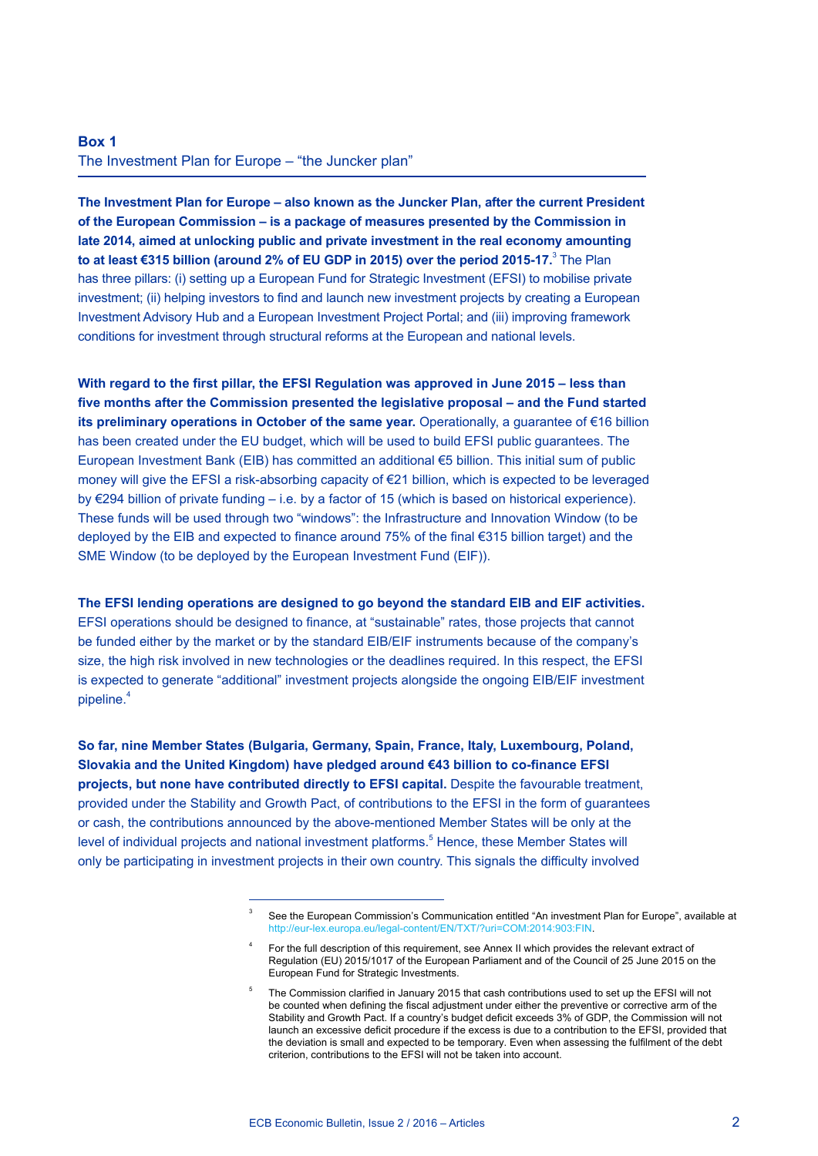### **Box 1** The Investment Plan for Europe – "the Juncker plan"

**The Investment Plan for Europe – also known as the Juncker Plan, after the current President of the European Commission – is a package of measures presented by the Commission in late 2014, aimed at unlocking public and private investment in the real economy amounting to at least €315 billion (around 2% of EU GDP in 2015) over the period 2015-17.<sup>3</sup> The Plan** has three pillars: (i) setting up a European Fund for Strategic Investment (EFSI) to mobilise private investment; (ii) helping investors to find and launch new investment projects by creating a European Investment Advisory Hub and a European Investment Project Portal; and (iii) improving framework conditions for investment through structural reforms at the European and national levels.

**With regard to the first pillar, the EFSI Regulation was approved in June 2015 – less than five months after the Commission presented the legislative proposal – and the Fund started its preliminary operations in October of the same year.** Operationally, a guarantee of €16 billion has been created under the EU budget, which will be used to build EFSI public guarantees. The European Investment Bank (EIB) has committed an additional €5 billion. This initial sum of public money will give the EFSI a risk-absorbing capacity of €21 billion, which is expected to be leveraged by €294 billion of private funding – i.e. by a factor of 15 (which is based on historical experience). These funds will be used through two "windows": the Infrastructure and Innovation Window (to be deployed by the EIB and expected to finance around 75% of the final €315 billion target) and the SME Window (to be deployed by the European Investment Fund (EIF)).

**The EFSI lending operations are designed to go beyond the standard EIB and EIF activities.** EFSI operations should be designed to finance, at "sustainable" rates, those projects that cannot be funded either by the market or by the standard EIB/EIF instruments because of the company's size, the high risk involved in new technologies or the deadlines required. In this respect, the EFSI is expected to generate "additional" investment projects alongside the ongoing EIB/EIF investment pipeline.<sup>4</sup>

**So far, nine Member States (Bulgaria, Germany, Spain, France, Italy, Luxembourg, Poland, Slovakia and the United Kingdom) have pledged around €43 billion to co-finance EFSI projects, but none have contributed directly to EFSI capital.** Despite the favourable treatment, provided under the Stability and Growth Pact, of contributions to the EFSI in the form of guarantees or cash, the contributions announced by the above-mentioned Member States will be only at the level of individual projects and national investment platforms.<sup>5</sup> Hence, these Member States will only be participating in investment projects in their own country. This signals the difficulty involved

<sup>&</sup>lt;sup>3</sup> See the European Commission's Communication entitled "An investment Plan for Europe", available at http://eur-lex.europa.eu/legal-content/EN/TXT/?uri=COM:2014:903:FIN.

<sup>4</sup> For the full description of this requirement, see Annex II which provides the relevant extract of Regulation (EU) 2015/1017 of the European Parliament and of the Council of 25 June 2015 on the European Fund for Strategic Investments.

<sup>5</sup> The Commission clarified in January 2015 that cash contributions used to set up the EFSI will not be counted when defining the fiscal adjustment under either the preventive or corrective arm of the Stability and Growth Pact. If a country's budget deficit exceeds 3% of GDP, the Commission will not launch an excessive deficit procedure if the excess is due to a contribution to the EFSI, provided that the deviation is small and expected to be temporary. Even when assessing the fulfilment of the debt criterion, contributions to the EFSI will not be taken into account.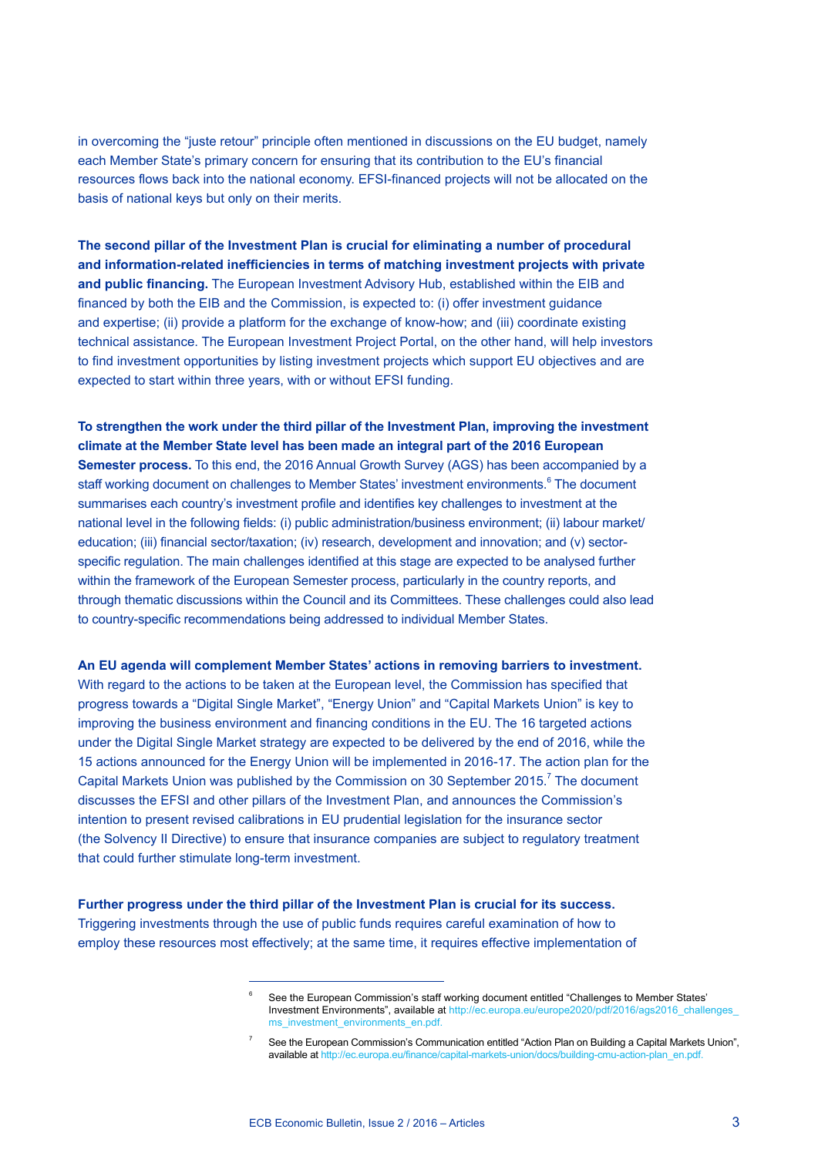in overcoming the "juste retour" principle often mentioned in discussions on the EU budget, namely each Member State's primary concern for ensuring that its contribution to the EU's financial resources flows back into the national economy. EFSI-financed projects will not be allocated on the basis of national keys but only on their merits.

**The second pillar of the Investment Plan is crucial for eliminating a number of procedural and information-related inefficiencies in terms of matching investment projects with private and public financing.** The European Investment Advisory Hub, established within the EIB and financed by both the EIB and the Commission, is expected to: (i) offer investment guidance and expertise; (ii) provide a platform for the exchange of know-how; and (iii) coordinate existing technical assistance. The European Investment Project Portal, on the other hand, will help investors to find investment opportunities by listing investment projects which support EU objectives and are expected to start within three years, with or without EFSI funding.

**To strengthen the work under the third pillar of the Investment Plan, improving the investment climate at the Member State level has been made an integral part of the 2016 European Semester process.** To this end, the 2016 Annual Growth Survey (AGS) has been accompanied by a staff working document on challenges to Member States' investment environments.<sup>6</sup> The document summarises each country's investment profile and identifies key challenges to investment at the national level in the following fields: (i) public administration/business environment; (ii) labour market/ education; (iii) financial sector/taxation; (iv) research, development and innovation; and (v) sectorspecific regulation. The main challenges identified at this stage are expected to be analysed further within the framework of the European Semester process, particularly in the country reports, and through thematic discussions within the Council and its Committees. These challenges could also lead to country-specific recommendations being addressed to individual Member States.

#### **An EU agenda will complement Member States' actions in removing barriers to investment.**

With regard to the actions to be taken at the European level, the Commission has specified that progress towards a "Digital Single Market", "Energy Union" and "Capital Markets Union" is key to improving the business environment and financing conditions in the EU. The 16 targeted actions under the Digital Single Market strategy are expected to be delivered by the end of 2016, while the 15 actions announced for the Energy Union will be implemented in 2016-17. The action plan for the Capital Markets Union was published by the Commission on 30 September 2015.<sup>7</sup> The document discusses the EFSI and other pillars of the Investment Plan, and announces the Commission's intention to present revised calibrations in EU prudential legislation for the insurance sector (the Solvency II Directive) to ensure that insurance companies are subject to regulatory treatment that could further stimulate long-term investment.

**Further progress under the third pillar of the Investment Plan is crucial for its success.** Triggering investments through the use of public funds requires careful examination of how to employ these resources most effectively; at the same time, it requires effective implementation of

<sup>6</sup> See the European Commission's staff working document entitled "Challenges to Member States' Investment Environments", available at [http://ec.europa.eu/europe2020/pdf/2016/ags2016\\_challenges\\_](http://ec.europa.eu/europe2020/pdf/2016/ags2016_challenges_ms_investment_environments_en.pdf) [ms\\_investment\\_environments\\_en.pdf](http://ec.europa.eu/europe2020/pdf/2016/ags2016_challenges_ms_investment_environments_en.pdf).

<sup>7</sup> See the European Commission's Communication entitled "Action Plan on Building a Capital Markets Union", available at http://ec.europa.eu/finance/capital-markets-union/docs/building-cmu-action-plan\_en.pdf.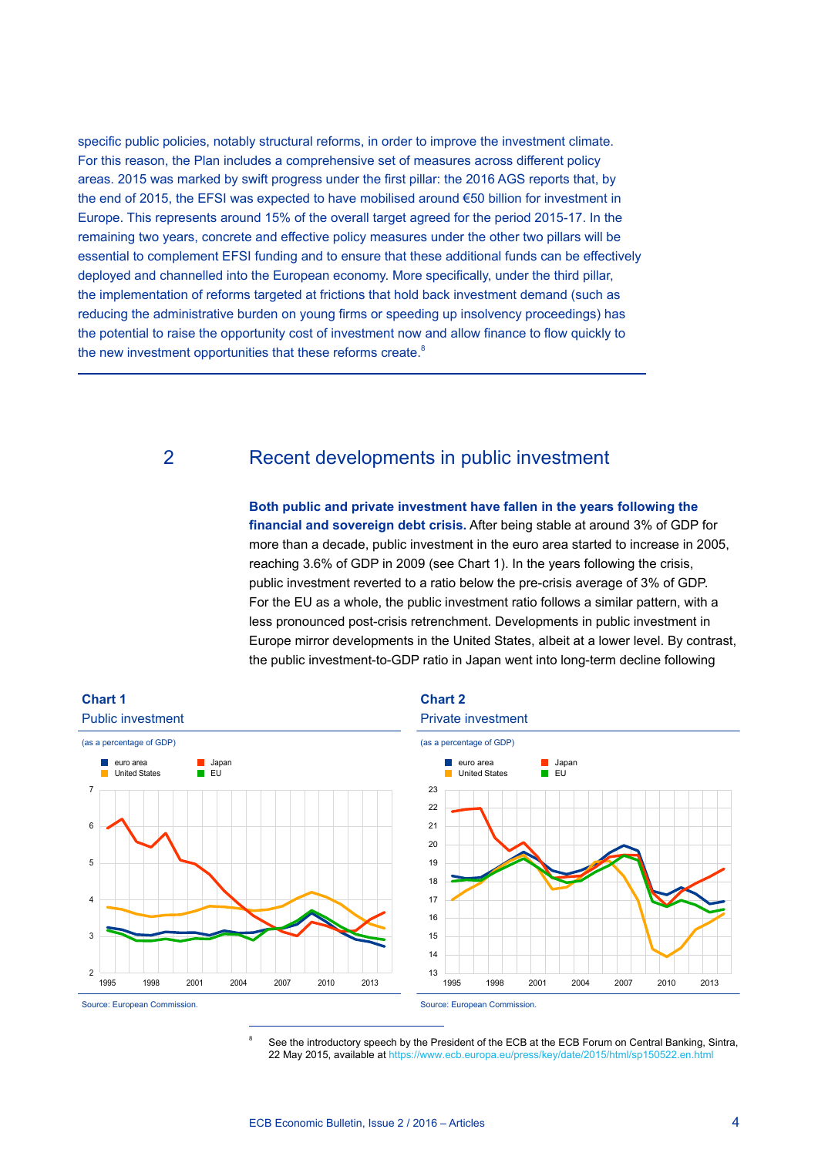specific public policies, notably structural reforms, in order to improve the investment climate. For this reason, the Plan includes a comprehensive set of measures across different policy areas. 2015 was marked by swift progress under the first pillar: the 2016 AGS reports that, by the end of 2015, the EFSI was expected to have mobilised around €50 billion for investment in Europe. This represents around 15% of the overall target agreed for the period 2015-17. In the remaining two years, concrete and effective policy measures under the other two pillars will be essential to complement EFSI funding and to ensure that these additional funds can be effectively deployed and channelled into the European economy. More specifically, under the third pillar, the implementation of reforms targeted at frictions that hold back investment demand (such as reducing the administrative burden on young firms or speeding up insolvency proceedings) has the potential to raise the opportunity cost of investment now and allow finance to flow quickly to the new investment opportunities that these reforms create.<sup>8</sup>

# 2 Recent developments in public investment

**Both public and private investment have fallen in the years following the financial and sovereign debt crisis.** After being stable at around 3% of GDP for more than a decade, public investment in the euro area started to increase in 2005, reaching 3.6% of GDP in 2009 (see Chart 1). In the years following the crisis, public investment reverted to a ratio below the pre-crisis average of 3% of GDP. For the EU as a whole, the public investment ratio follows a similar pattern, with a less pronounced post-crisis retrenchment. Developments in public investment in Europe mirror developments in the United States, albeit at a lower level. By contrast, the public investment-to-GDP ratio in Japan went into long-term decline following



See the introductory speech by the President of the ECB at the ECB Forum on Central Banking, Sintra, 22 May 2015, available at https://www.ecb.europa.eu/press/key/date/2015/html/sp150522.en.html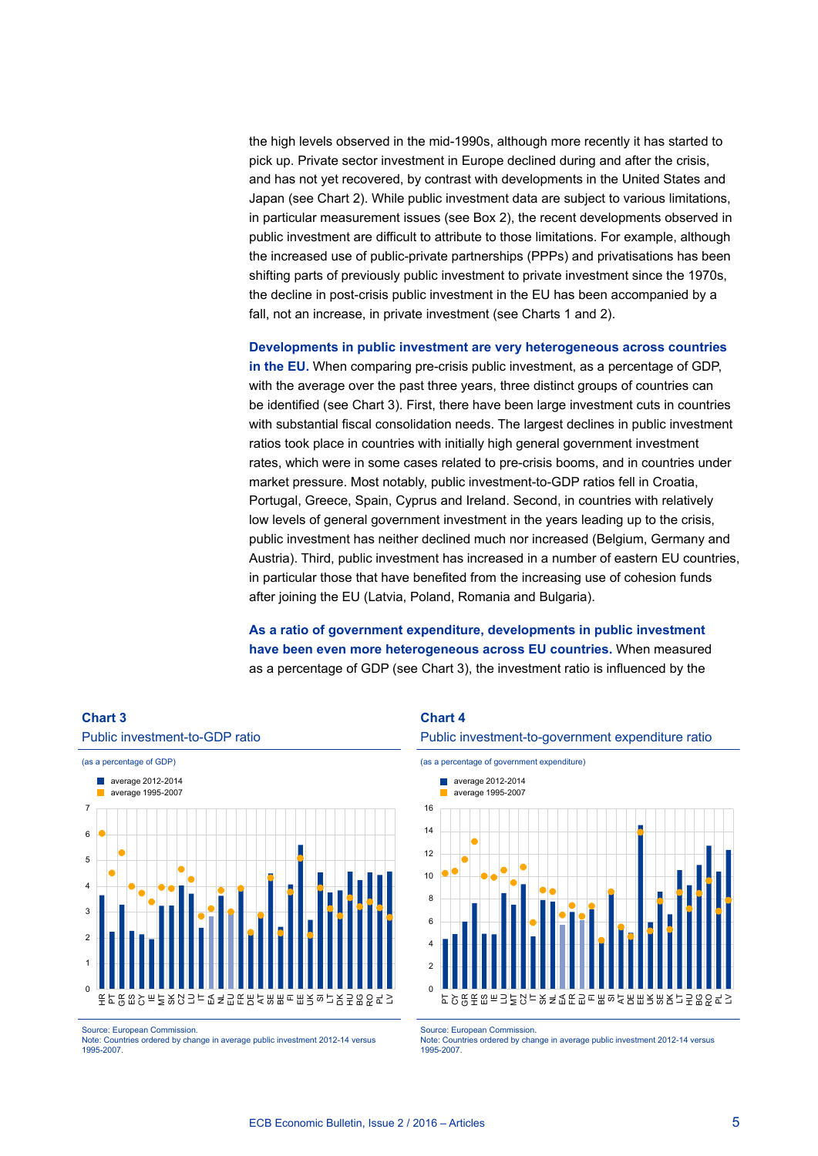the high levels observed in the mid-1990s, although more recently it has started to pick up. Private sector investment in Europe declined during and after the crisis, and has not yet recovered, by contrast with developments in the United States and Japan (see Chart 2). While public investment data are subject to various limitations, in particular measurement issues (see Box 2), the recent developments observed in public investment are difficult to attribute to those limitations. For example, although the increased use of public-private partnerships (PPPs) and privatisations has been shifting parts of previously public investment to private investment since the 1970s, the decline in post-crisis public investment in the EU has been accompanied by a fall, not an increase, in private investment (see Charts 1 and 2).

**Developments in public investment are very heterogeneous across countries in the EU.** When comparing pre-crisis public investment, as a percentage of GDP, with the average over the past three years, three distinct groups of countries can be identified (see Chart 3). First, there have been large investment cuts in countries with substantial fiscal consolidation needs. The largest declines in public investment ratios took place in countries with initially high general government investment rates, which were in some cases related to pre-crisis booms, and in countries under market pressure. Most notably, public investment-to-GDP ratios fell in Croatia, Portugal, Greece, Spain, Cyprus and Ireland. Second, in countries with relatively low levels of general government investment in the years leading up to the crisis, public investment has neither declined much nor increased (Belgium, Germany and Austria). Third, public investment has increased in a number of eastern EU countries, in particular those that have benefited from the increasing use of cohesion funds after joining the EU (Latvia, Poland, Romania and Bulgaria).

**As a ratio of government expenditure, developments in public investment have been even more heterogeneous across EU countries.** When measured as a percentage of GDP (see Chart 3), the investment ratio is influenced by the



Source: European Commission.

Note: Countries ordered by change in average public investment 2012-14 versus 1995-2007.

### **Chart 4**



(as a percentage of government expenditure)



Source: European Commission.

Note: Countries ordered by change in average public investment 2012-14 versus 1995-2007.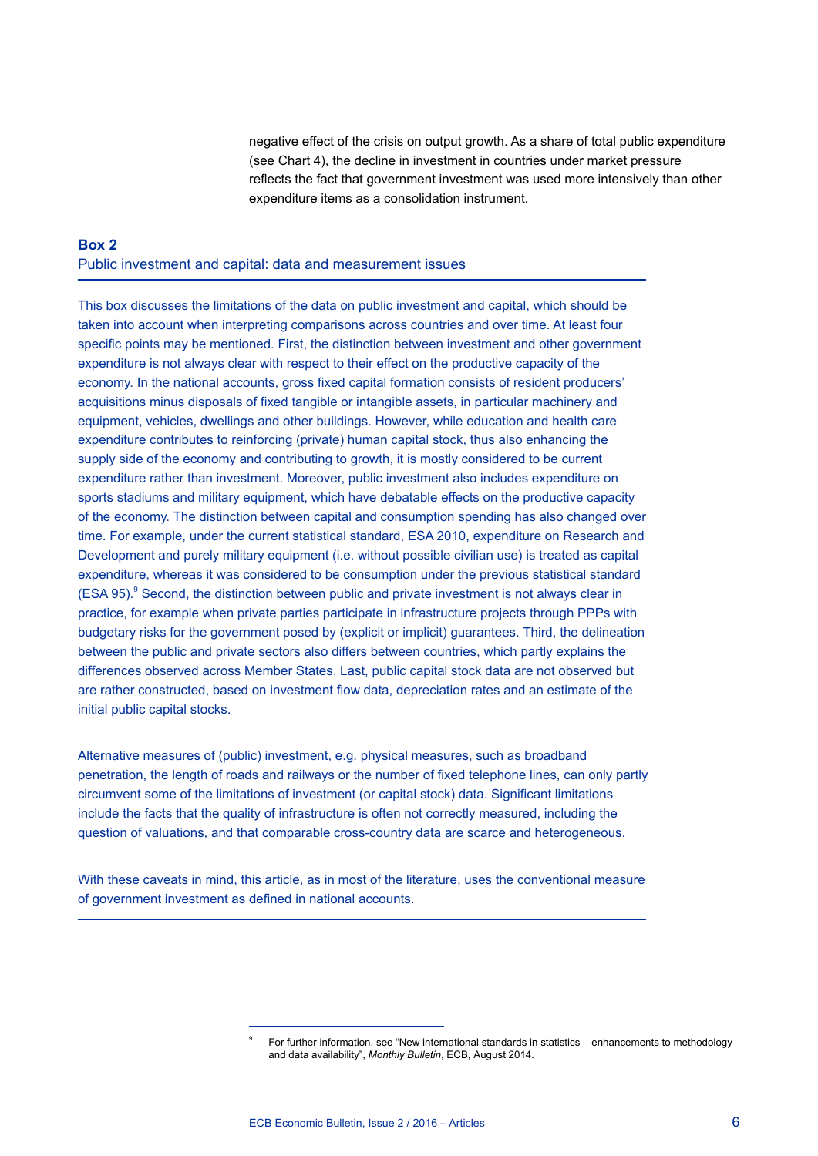negative effect of the crisis on output growth. As a share of total public expenditure (see Chart 4), the decline in investment in countries under market pressure reflects the fact that government investment was used more intensively than other expenditure items as a consolidation instrument.

### **Box 2** Public investment and capital: data and measurement issues

This box discusses the limitations of the data on public investment and capital, which should be taken into account when interpreting comparisons across countries and over time. At least four specific points may be mentioned. First, the distinction between investment and other government expenditure is not always clear with respect to their effect on the productive capacity of the economy. In the national accounts, gross fixed capital formation consists of resident producers' acquisitions minus disposals of fixed tangible or intangible assets, in particular machinery and equipment, vehicles, dwellings and other buildings. However, while education and health care expenditure contributes to reinforcing (private) human capital stock, thus also enhancing the supply side of the economy and contributing to growth, it is mostly considered to be current expenditure rather than investment. Moreover, public investment also includes expenditure on sports stadiums and military equipment, which have debatable effects on the productive capacity of the economy. The distinction between capital and consumption spending has also changed over time. For example, under the current statistical standard, ESA 2010, expenditure on Research and Development and purely military equipment (i.e. without possible civilian use) is treated as capital expenditure, whereas it was considered to be consumption under the previous statistical standard (ESA 95).<sup>9</sup> Second, the distinction between public and private investment is not always clear in practice, for example when private parties participate in infrastructure projects through PPPs with budgetary risks for the government posed by (explicit or implicit) guarantees. Third, the delineation between the public and private sectors also differs between countries, which partly explains the differences observed across Member States. Last, public capital stock data are not observed but are rather constructed, based on investment flow data, depreciation rates and an estimate of the initial public capital stocks.

Alternative measures of (public) investment, e.g. physical measures, such as broadband penetration, the length of roads and railways or the number of fixed telephone lines, can only partly circumvent some of the limitations of investment (or capital stock) data. Significant limitations include the facts that the quality of infrastructure is often not correctly measured, including the question of valuations, and that comparable cross-country data are scarce and heterogeneous.

With these caveats in mind, this article, as in most of the literature, uses the conventional measure of government investment as defined in national accounts.

<sup>9</sup> For further information, see "New international standards in statistics – enhancements to methodology and data availability", *Monthly Bulletin*, ECB, August 2014.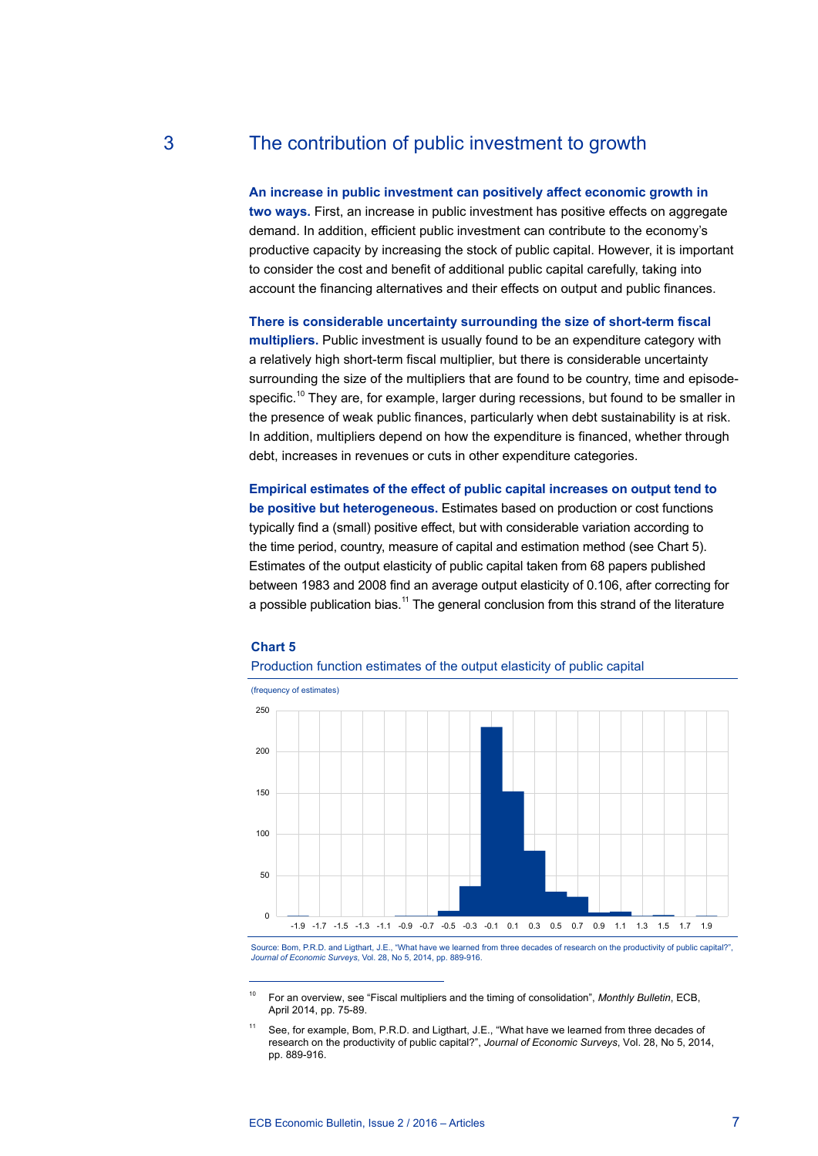# 3 The contribution of public investment to growth

**An increase in public investment can positively affect economic growth in two ways.** First, an increase in public investment has positive effects on aggregate demand. In addition, efficient public investment can contribute to the economy's productive capacity by increasing the stock of public capital. However, it is important to consider the cost and benefit of additional public capital carefully, taking into account the financing alternatives and their effects on output and public finances.

**There is considerable uncertainty surrounding the size of short-term fiscal multipliers.** Public investment is usually found to be an expenditure category with a relatively high short-term fiscal multiplier, but there is considerable uncertainty surrounding the size of the multipliers that are found to be country, time and episodespecific.<sup>10</sup> They are, for example, larger during recessions, but found to be smaller in the presence of weak public finances, particularly when debt sustainability is at risk. In addition, multipliers depend on how the expenditure is financed, whether through debt, increases in revenues or cuts in other expenditure categories.

**Empirical estimates of the effect of public capital increases on output tend to be positive but heterogeneous.** Estimates based on production or cost functions typically find a (small) positive effect, but with considerable variation according to the time period, country, measure of capital and estimation method (see Chart 5). Estimates of the output elasticity of public capital taken from 68 papers published between 1983 and 2008 find an average output elasticity of 0.106, after correcting for a possible publication bias.<sup>11</sup> The general conclusion from this strand of the literature

### **Chart 5**

### Production function estimates of the output elasticity of public capital

(frequency of estimates)



Source: Bom, P.R.D. and Ligthart, J.E., "What have we learned from three decades of research on the productivity of public capital?", *Journal of Economic Surveys*, Vol. 28, No 5, 2014, pp. 889-916.

<sup>10</sup> For an overview, see "Fiscal multipliers and the timing of consolidation", *Monthly Bulletin*, ECB, April 2014, pp. 75-89.

<sup>11</sup> See, for example, Bom, P.R.D. and Ligthart, J.E., "What have we learned from three decades of research on the productivity of public capital?", *Journal of Economic Surveys*, Vol. 28, No 5, 2014, pp. 889-916.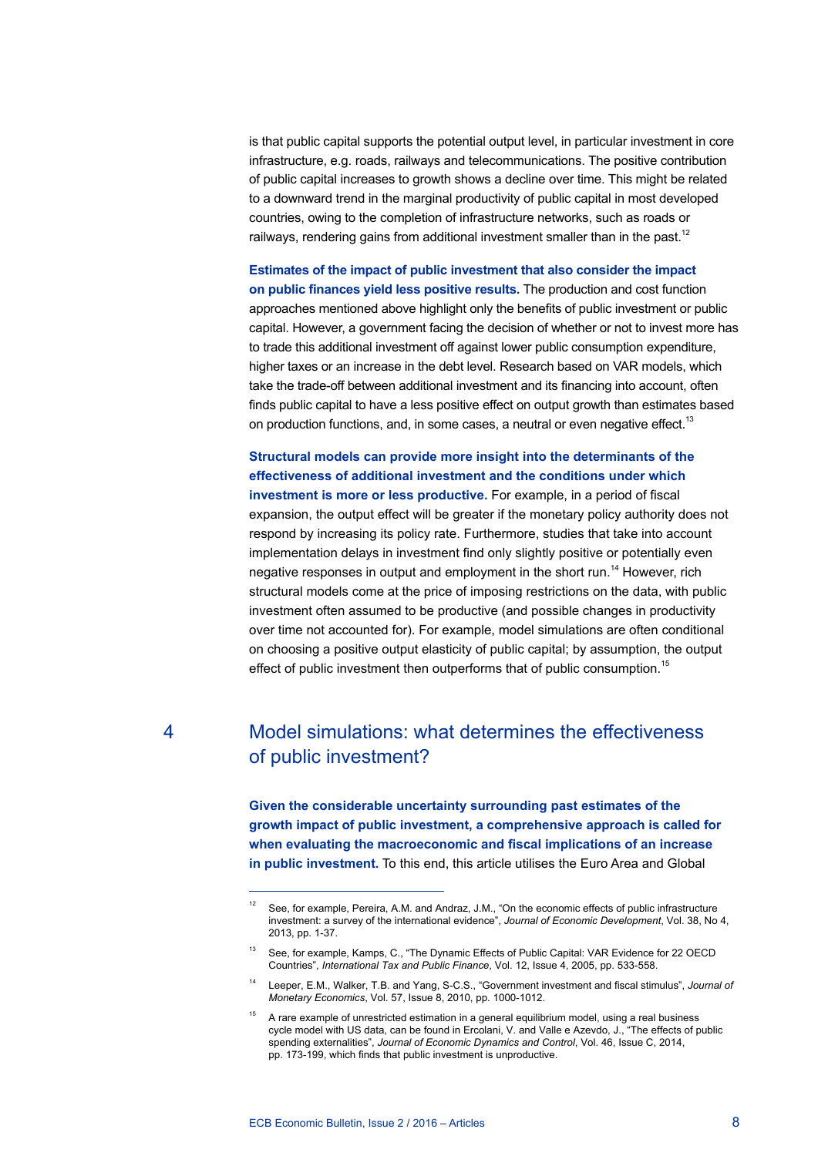is that public capital supports the potential output level, in particular investment in core infrastructure, e.g. roads, railways and telecommunications. The positive contribution of public capital increases to growth shows a decline over time. This might be related to a downward trend in the marginal productivity of public capital in most developed countries, owing to the completion of infrastructure networks, such as roads or railways, rendering gains from additional investment smaller than in the past.<sup>12</sup>

**Estimates of the impact of public investment that also consider the impact on public finances yield less positive results.** The production and cost function approaches mentioned above highlight only the benefits of public investment or public capital. However, a government facing the decision of whether or not to invest more has to trade this additional investment off against lower public consumption expenditure, higher taxes or an increase in the debt level. Research based on VAR models, which take the trade-off between additional investment and its financing into account, often finds public capital to have a less positive effect on output growth than estimates based on production functions, and, in some cases, a neutral or even negative effect.<sup>13</sup>

**Structural models can provide more insight into the determinants of the effectiveness of additional investment and the conditions under which investment is more or less productive.** For example, in a period of fiscal expansion, the output effect will be greater if the monetary policy authority does not respond by increasing its policy rate. Furthermore, studies that take into account implementation delays in investment find only slightly positive or potentially even negative responses in output and employment in the short run.<sup>14</sup> However, rich structural models come at the price of imposing restrictions on the data, with public investment often assumed to be productive (and possible changes in productivity over time not accounted for). For example, model simulations are often conditional on choosing a positive output elasticity of public capital; by assumption, the output effect of public investment then outperforms that of public consumption.<sup>15</sup>

# 4 Model simulations: what determines the effectiveness of public investment?

**Given the considerable uncertainty surrounding past estimates of the growth impact of public investment, a comprehensive approach is called for when evaluating the macroeconomic and fiscal implications of an increase in public investment.** To this end, this article utilises the Euro Area and Global

<sup>&</sup>lt;sup>12</sup> See, for example, Pereira, A.M. and Andraz, J.M., "On the economic effects of public infrastructure investment: a survey of the international evidence", *Journal of Economic Development*, Vol. 38, No 4, 2013, pp. 1-37.

<sup>&</sup>lt;sup>13</sup> See, for example, Kamps, C., "The Dynamic Effects of Public Capital: VAR Evidence for 22 OECD Countries", *International Tax and Public Finance*, Vol. 12, Issue 4, 2005, pp. 533-558.

<sup>14</sup> Leeper, E.M., Walker, T.B. and Yang, S-C.S., "Government investment and fiscal stimulus", *Journal of Monetary Economics*, Vol. 57, Issue 8, 2010, pp. 1000-1012.

 $15$  A rare example of unrestricted estimation in a general equilibrium model, using a real business cycle model with US data, can be found in Ercolani, V. and Valle e Azevdo, J., "The effects of public spending externalities", *Journal of Economic Dynamics and Control*, Vol. 46, Issue C, 2014, pp. 173-199, which finds that public investment is unproductive.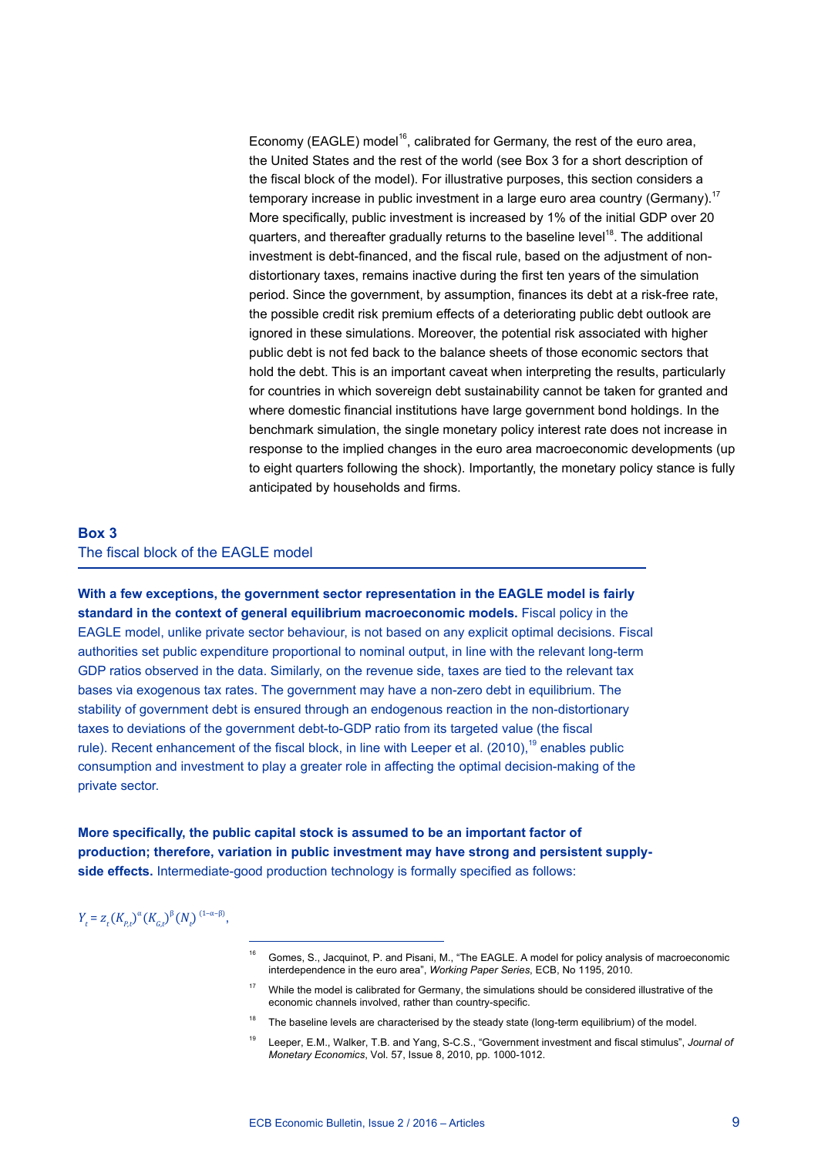Economy (EAGLE) model<sup>16</sup>, calibrated for Germany, the rest of the euro area, the United States and the rest of the world (see Box 3 for a short description of the fiscal block of the model). For illustrative purposes, this section considers a temporary increase in public investment in a large euro area country (Germany).<sup>17</sup> More specifically, public investment is increased by 1% of the initial GDP over 20 quarters, and thereafter gradually returns to the baseline level<sup>18</sup>. The additional investment is debt-financed, and the fiscal rule, based on the adjustment of nondistortionary taxes, remains inactive during the first ten years of the simulation period. Since the government, by assumption, finances its debt at a risk-free rate, the possible credit risk premium effects of a deteriorating public debt outlook are ignored in these simulations. Moreover, the potential risk associated with higher public debt is not fed back to the balance sheets of those economic sectors that hold the debt. This is an important caveat when interpreting the results, particularly for countries in which sovereign debt sustainability cannot be taken for granted and where domestic financial institutions have large government bond holdings. In the benchmark simulation, the single monetary policy interest rate does not increase in response to the implied changes in the euro area macroeconomic developments (up to eight quarters following the shock). Importantly, the monetary policy stance is fully anticipated by households and firms.

### **Box 3** The fiscal block of the EAGLE model

**With a few exceptions, the government sector representation in the EAGLE model is fairly standard in the context of general equilibrium macroeconomic models.** Fiscal policy in the EAGLE model, unlike private sector behaviour, is not based on any explicit optimal decisions. Fiscal authorities set public expenditure proportional to nominal output, in line with the relevant long-term GDP ratios observed in the data. Similarly, on the revenue side, taxes are tied to the relevant tax bases via exogenous tax rates. The government may have a non-zero debt in equilibrium. The stability of government debt is ensured through an endogenous reaction in the non-distortionary taxes to deviations of the government debt-to-GDP ratio from its targeted value (the fiscal rule). Recent enhancement of the fiscal block, in line with Leeper et al. (2010),<sup>19</sup> enables public consumption and investment to play a greater role in affecting the optimal decision-making of the private sector.

**More specifically, the public capital stock is assumed to be an important factor of production; therefore, variation in public investment may have strong and persistent supplyside effects.** Intermediate-good production technology is formally specified as follows:

 $Y_t = Z_t (K_{p,t})^{\alpha} (K_{G,t})^{\beta} (N_t)^{(1-\alpha-\beta)},$ 

- <sup>16</sup> Gomes, S., Jacquinot, P. and Pisani, M., "The EAGLE. A model for policy analysis of macroeconomic interdependence in the euro area", *Working Paper Series*, ECB, No 1195, 2010.
- <sup>17</sup> While the model is calibrated for Germany, the simulations should be considered illustrative of the economic channels involved, rather than country-specific.
- <sup>18</sup> The baseline levels are characterised by the steady state (long-term equilibrium) of the model.
- <sup>19</sup> Leeper, E.M., Walker, T.B. and Yang, S-C.S., "Government investment and fiscal stimulus", *Journal of Monetary Economics*, Vol. 57, Issue 8, 2010, pp. 1000-1012.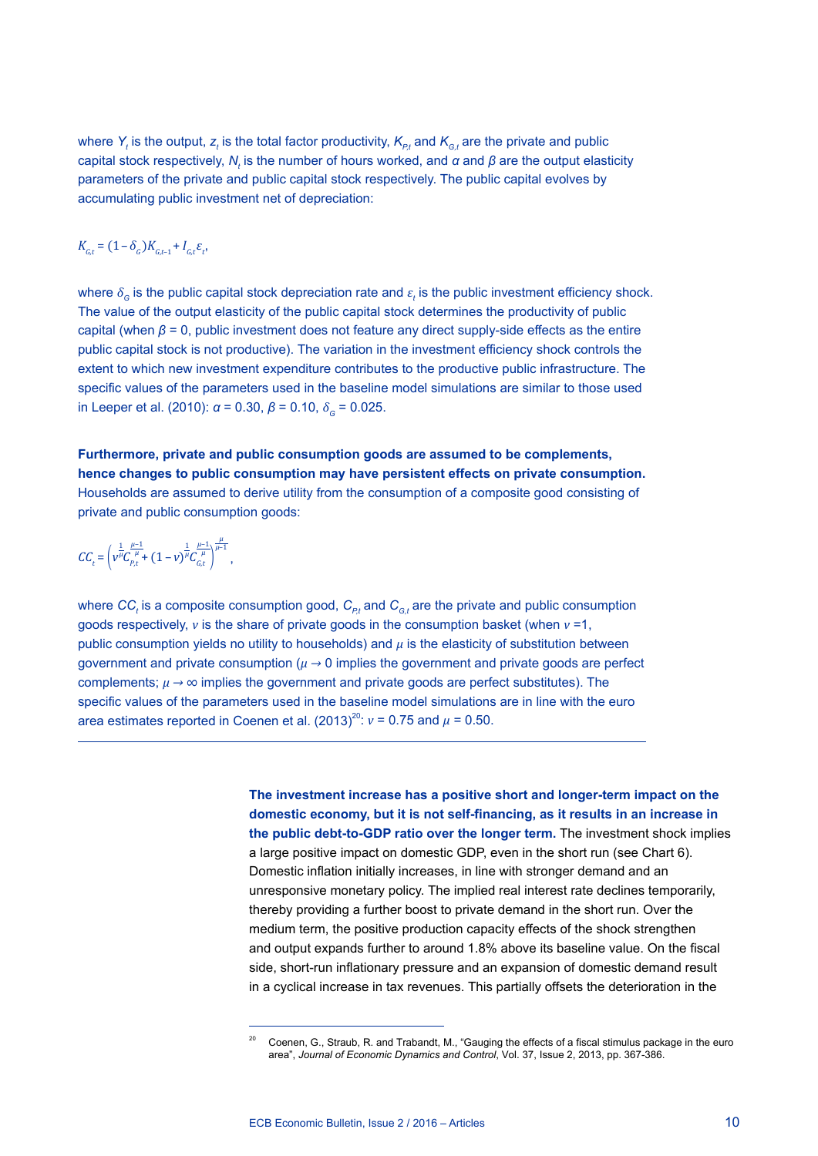where  $Y_t$  is the output,  $\mathsf{z}_t$  is the total factor productivity,  $\mathsf{K}_{\varrho_t}$  and  $\mathsf{K}_{\varrho_t}$  are the private and public capital stock respectively,  $N_{_t}$  is the number of hours worked, and *α* and *β* are the output elasticity parameters of the private and public capital stock respectively. The public capital evolves by accumulating public investment net of depreciation:

### $K_{G,t} = (1 - \delta_G)K_{G,t-1} + I_{G,t} \varepsilon_t,$

where  $\delta_{\rm G}$  is the public capital stock depreciation rate and  $\varepsilon_t$  is the public investment efficiency shock. The value of the output elasticity of the public capital stock determines the productivity of public capital (when *β* = 0, public investment does not feature any direct supply-side effects as the entire public capital stock is not productive). The variation in the investment efficiency shock controls the extent to which new investment expenditure contributes to the productive public infrastructure. The specific values of the parameters used in the baseline model simulations are similar to those used in Leeper et al. (2010):  $\alpha$  = 0.30,  $\beta$  = 0.10,  $\delta$ <sub>*G</sub>* = 0.025.</sub>

**Furthermore, private and public consumption goods are assumed to be complements, hence changes to public consumption may have persistent effects on private consumption.** Households are assumed to derive utility from the consumption of a composite good consisting of private and public consumption goods:

$$
CC_{t}=\left(v^{\frac{1}{\mu}}C_{p,t}^{\frac{\mu-1}{\mu}}+(1-v)^{\frac{1}{\mu}}C_{G,t}^{\frac{\mu-1}{\mu}}\right)^{\frac{\mu}{\mu-1}},
$$

where  $\textit{CC}_t$  is a composite consumption good,  $\textit{C}_{\rho_t}$  and  $\textit{C}_{\textit{G},t}$  are the private and public consumption goods respectively, *v* is the share of private goods in the consumption basket (when *v* =1, public consumption yields no utility to households) and *μ* is the elasticity of substitution between government and private consumption (*μ →* 0 implies the government and private goods are perfect complements; *μ → ∞* implies the government and private goods are perfect substitutes). The specific values of the parameters used in the baseline model simulations are in line with the euro area estimates reported in Coenen et al.  $(2013)^{20}$ :  $v = 0.75$  and  $\mu = 0.50$ .

> **The investment increase has a positive short and longer-term impact on the domestic economy, but it is not self-financing, as it results in an increase in the public debt-to-GDP ratio over the longer term.** The investment shock implies a large positive impact on domestic GDP, even in the short run (see Chart 6). Domestic inflation initially increases, in line with stronger demand and an unresponsive monetary policy. The implied real interest rate declines temporarily, thereby providing a further boost to private demand in the short run. Over the medium term, the positive production capacity effects of the shock strengthen and output expands further to around 1.8% above its baseline value. On the fiscal side, short-run inflationary pressure and an expansion of domestic demand result in a cyclical increase in tax revenues. This partially offsets the deterioration in the

<sup>20</sup> Coenen, G., Straub, R. and Trabandt, M., "Gauging the effects of a fiscal stimulus package in the euro area", *Journal of Economic Dynamics and Control*, Vol. 37, Issue 2, 2013, pp. 367-386.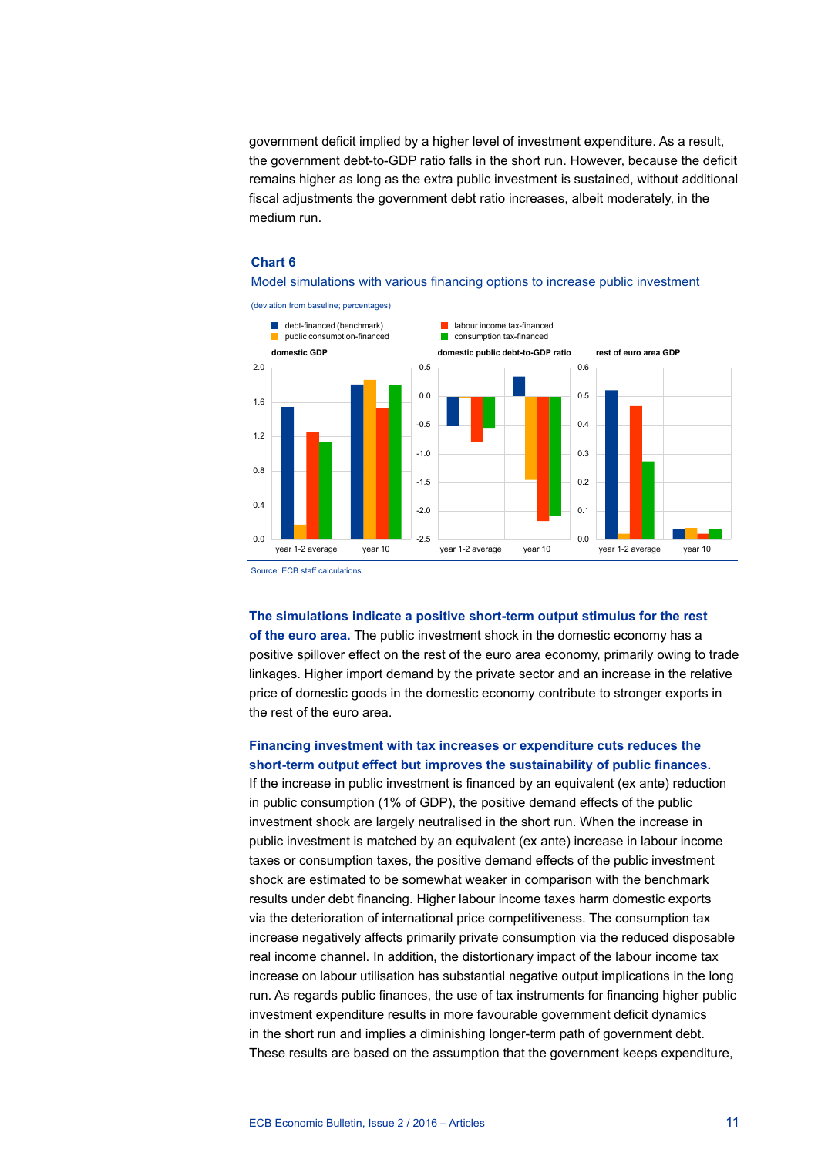government deficit implied by a higher level of investment expenditure. As a result, the government debt-to-GDP ratio falls in the short run. However, because the deficit remains higher as long as the extra public investment is sustained, without additional fiscal adjustments the government debt ratio increases, albeit moderately, in the medium run.

### **Chart 6**



### Model simulations with various financing options to increase public investment

Source: ECB staff calculations.

**The simulations indicate a positive short-term output stimulus for the rest of the euro area.** The public investment shock in the domestic economy has a positive spillover effect on the rest of the euro area economy, primarily owing to trade linkages. Higher import demand by the private sector and an increase in the relative price of domestic goods in the domestic economy contribute to stronger exports in the rest of the euro area.

### **Financing investment with tax increases or expenditure cuts reduces the short-term output effect but improves the sustainability of public finances.**

If the increase in public investment is financed by an equivalent (ex ante) reduction in public consumption (1% of GDP), the positive demand effects of the public investment shock are largely neutralised in the short run. When the increase in public investment is matched by an equivalent (ex ante) increase in labour income taxes or consumption taxes, the positive demand effects of the public investment shock are estimated to be somewhat weaker in comparison with the benchmark results under debt financing. Higher labour income taxes harm domestic exports via the deterioration of international price competitiveness. The consumption tax increase negatively affects primarily private consumption via the reduced disposable real income channel. In addition, the distortionary impact of the labour income tax increase on labour utilisation has substantial negative output implications in the long run. As regards public finances, the use of tax instruments for financing higher public investment expenditure results in more favourable government deficit dynamics in the short run and implies a diminishing longer-term path of government debt. These results are based on the assumption that the government keeps expenditure,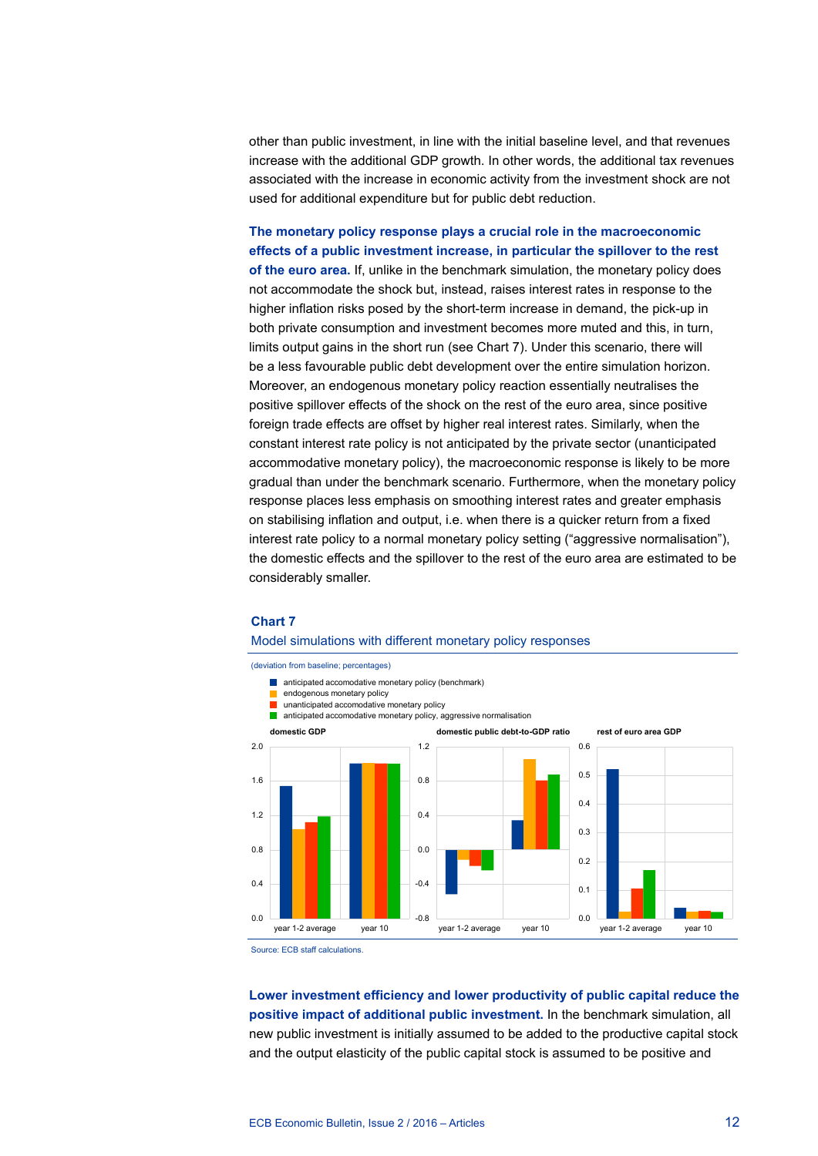other than public investment, in line with the initial baseline level, and that revenues increase with the additional GDP growth. In other words, the additional tax revenues associated with the increase in economic activity from the investment shock are not used for additional expenditure but for public debt reduction.

**The monetary policy response plays a crucial role in the macroeconomic effects of a public investment increase, in particular the spillover to the rest of the euro area.** If, unlike in the benchmark simulation, the monetary policy does not accommodate the shock but, instead, raises interest rates in response to the higher inflation risks posed by the short-term increase in demand, the pick-up in both private consumption and investment becomes more muted and this, in turn, limits output gains in the short run (see Chart 7). Under this scenario, there will be a less favourable public debt development over the entire simulation horizon. Moreover, an endogenous monetary policy reaction essentially neutralises the positive spillover effects of the shock on the rest of the euro area, since positive foreign trade effects are offset by higher real interest rates. Similarly, when the constant interest rate policy is not anticipated by the private sector (unanticipated accommodative monetary policy), the macroeconomic response is likely to be more gradual than under the benchmark scenario. Furthermore, when the monetary policy response places less emphasis on smoothing interest rates and greater emphasis on stabilising inflation and output, i.e. when there is a quicker return from a fixed interest rate policy to a normal monetary policy setting ("aggressive normalisation"). the domestic effects and the spillover to the rest of the euro area are estimated to be considerably smaller.

### **Chart 7**

### Model simulations with different monetary policy responses

(deviation from baseline; percentages)



Source: ECB staff calculations.

**Lower investment efficiency and lower productivity of public capital reduce the positive impact of additional public investment.** In the benchmark simulation, all new public investment is initially assumed to be added to the productive capital stock and the output elasticity of the public capital stock is assumed to be positive and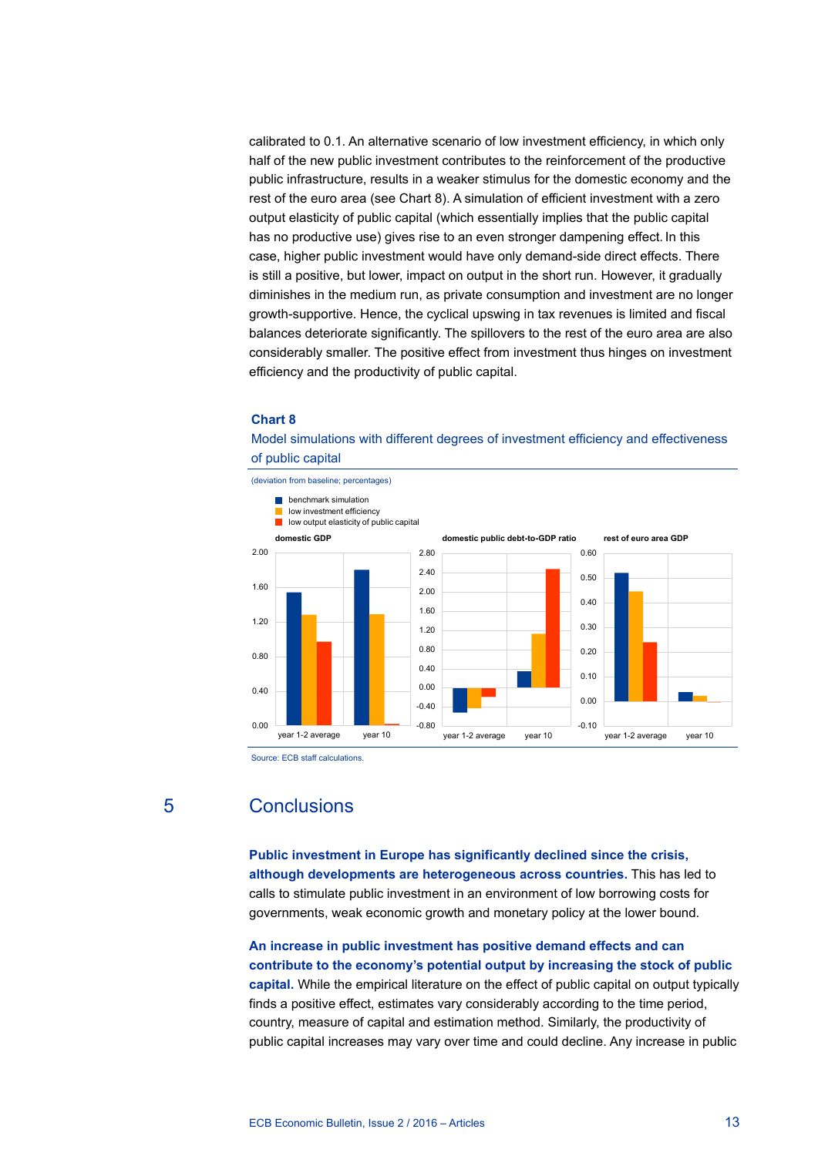calibrated to 0.1. An alternative scenario of low investment efficiency, in which only half of the new public investment contributes to the reinforcement of the productive public infrastructure, results in a weaker stimulus for the domestic economy and the rest of the euro area (see Chart 8). A simulation of efficient investment with a zero output elasticity of public capital (which essentially implies that the public capital has no productive use) gives rise to an even stronger dampening effect. In this case, higher public investment would have only demand-side direct effects. There is still a positive, but lower, impact on output in the short run. However, it gradually diminishes in the medium run, as private consumption and investment are no longer growth-supportive. Hence, the cyclical upswing in tax revenues is limited and fiscal balances deteriorate significantly. The spillovers to the rest of the euro area are also considerably smaller. The positive effect from investment thus hinges on investment efficiency and the productivity of public capital.

#### **Chart 8**

### Model simulations with different degrees of investment efficiency and effectiveness of public capital



Source: ECB staff calculations.

# 5 Conclusions

**Public investment in Europe has significantly declined since the crisis, although developments are heterogeneous across countries.** This has led to calls to stimulate public investment in an environment of low borrowing costs for governments, weak economic growth and monetary policy at the lower bound.

**An increase in public investment has positive demand effects and can contribute to the economy's potential output by increasing the stock of public capital.** While the empirical literature on the effect of public capital on output typically finds a positive effect, estimates vary considerably according to the time period, country, measure of capital and estimation method. Similarly, the productivity of public capital increases may vary over time and could decline. Any increase in public